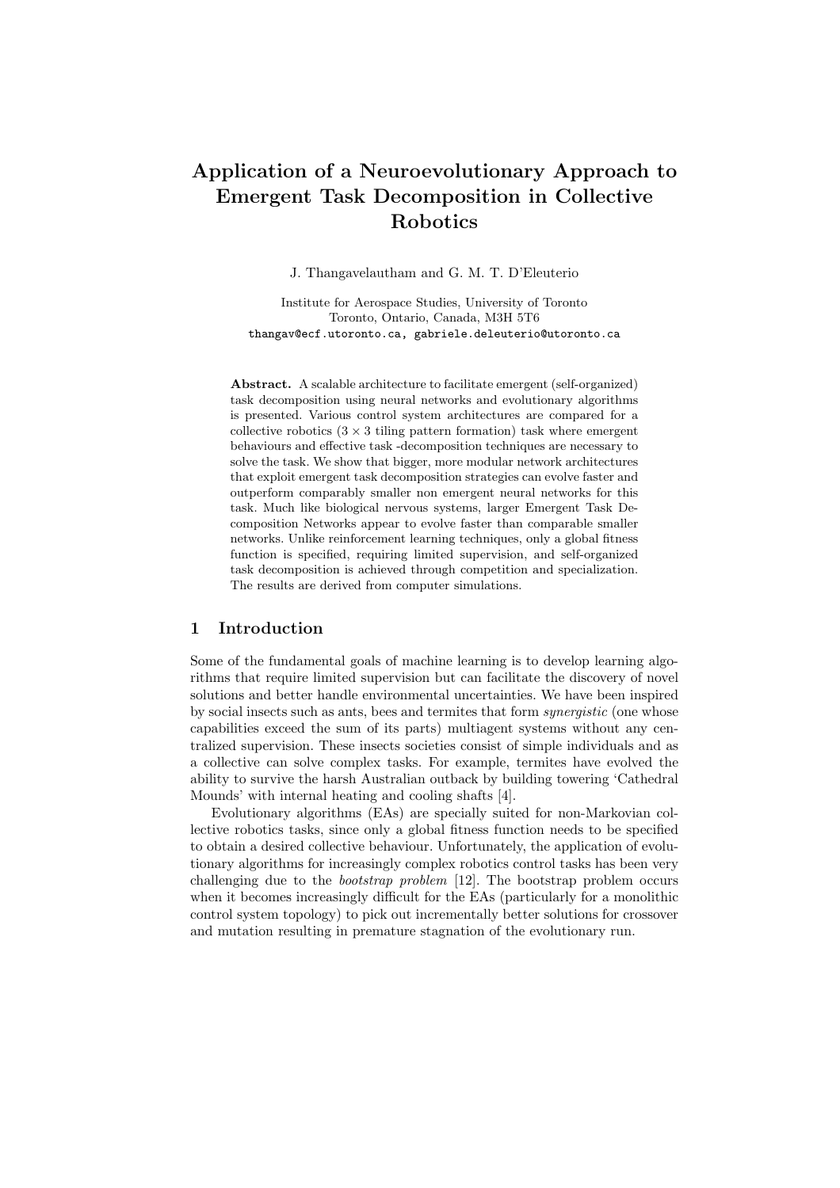# Application of a Neuroevolutionary Approach to Emergent Task Decomposition in Collective Robotics

J. Thangavelautham and G. M. T. D'Eleuterio

Institute for Aerospace Studies, University of Toronto Toronto, Ontario, Canada, M3H 5T6 thangav@ecf.utoronto.ca, gabriele.deleuterio@utoronto.ca

Abstract. A scalable architecture to facilitate emergent (self-organized) task decomposition using neural networks and evolutionary algorithms is presented. Various control system architectures are compared for a collective robotics  $(3 \times 3)$  tiling pattern formation) task where emergent behaviours and effective task -decomposition techniques are necessary to solve the task. We show that bigger, more modular network architectures that exploit emergent task decomposition strategies can evolve faster and outperform comparably smaller non emergent neural networks for this task. Much like biological nervous systems, larger Emergent Task Decomposition Networks appear to evolve faster than comparable smaller networks. Unlike reinforcement learning techniques, only a global fitness function is specified, requiring limited supervision, and self-organized task decomposition is achieved through competition and specialization. The results are derived from computer simulations.

#### 1 Introduction

Some of the fundamental goals of machine learning is to develop learning algorithms that require limited supervision but can facilitate the discovery of novel solutions and better handle environmental uncertainties. We have been inspired by social insects such as ants, bees and termites that form synergistic (one whose capabilities exceed the sum of its parts) multiagent systems without any centralized supervision. These insects societies consist of simple individuals and as a collective can solve complex tasks. For example, termites have evolved the ability to survive the harsh Australian outback by building towering 'Cathedral Mounds' with internal heating and cooling shafts [4].

Evolutionary algorithms (EAs) are specially suited for non-Markovian collective robotics tasks, since only a global fitness function needs to be specified to obtain a desired collective behaviour. Unfortunately, the application of evolutionary algorithms for increasingly complex robotics control tasks has been very challenging due to the bootstrap problem [12]. The bootstrap problem occurs when it becomes increasingly difficult for the EAs (particularly for a monolithic control system topology) to pick out incrementally better solutions for crossover and mutation resulting in premature stagnation of the evolutionary run.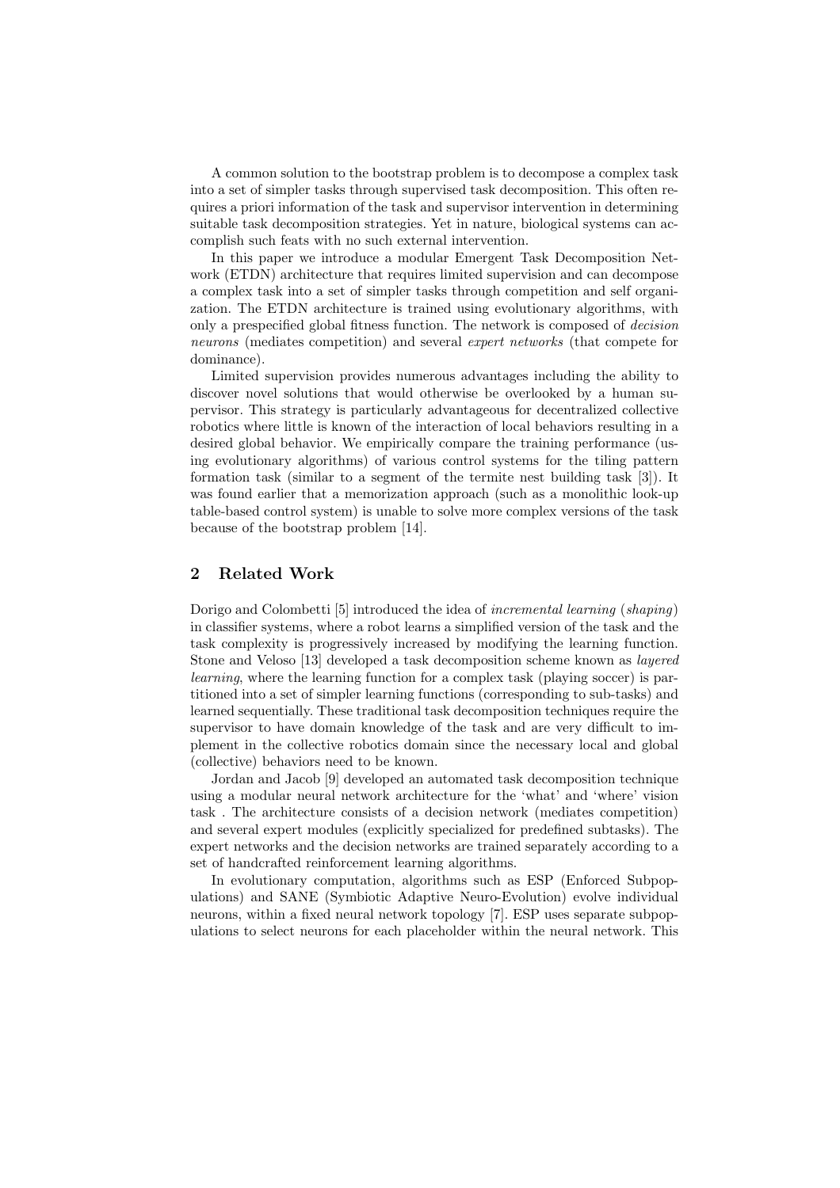A common solution to the bootstrap problem is to decompose a complex task into a set of simpler tasks through supervised task decomposition. This often requires a priori information of the task and supervisor intervention in determining suitable task decomposition strategies. Yet in nature, biological systems can accomplish such feats with no such external intervention.

In this paper we introduce a modular Emergent Task Decomposition Network (ETDN) architecture that requires limited supervision and can decompose a complex task into a set of simpler tasks through competition and self organization. The ETDN architecture is trained using evolutionary algorithms, with only a prespecified global fitness function. The network is composed of decision neurons (mediates competition) and several expert networks (that compete for dominance).

Limited supervision provides numerous advantages including the ability to discover novel solutions that would otherwise be overlooked by a human supervisor. This strategy is particularly advantageous for decentralized collective robotics where little is known of the interaction of local behaviors resulting in a desired global behavior. We empirically compare the training performance (using evolutionary algorithms) of various control systems for the tiling pattern formation task (similar to a segment of the termite nest building task [3]). It was found earlier that a memorization approach (such as a monolithic look-up table-based control system) is unable to solve more complex versions of the task because of the bootstrap problem [14].

## 2 Related Work

Dorigo and Colombetti [5] introduced the idea of incremental learning (shaping) in classifier systems, where a robot learns a simplified version of the task and the task complexity is progressively increased by modifying the learning function. Stone and Veloso [13] developed a task decomposition scheme known as layered learning, where the learning function for a complex task (playing soccer) is partitioned into a set of simpler learning functions (corresponding to sub-tasks) and learned sequentially. These traditional task decomposition techniques require the supervisor to have domain knowledge of the task and are very difficult to implement in the collective robotics domain since the necessary local and global (collective) behaviors need to be known.

Jordan and Jacob [9] developed an automated task decomposition technique using a modular neural network architecture for the 'what' and 'where' vision task . The architecture consists of a decision network (mediates competition) and several expert modules (explicitly specialized for predefined subtasks). The expert networks and the decision networks are trained separately according to a set of handcrafted reinforcement learning algorithms.

In evolutionary computation, algorithms such as ESP (Enforced Subpopulations) and SANE (Symbiotic Adaptive Neuro-Evolution) evolve individual neurons, within a fixed neural network topology [7]. ESP uses separate subpopulations to select neurons for each placeholder within the neural network. This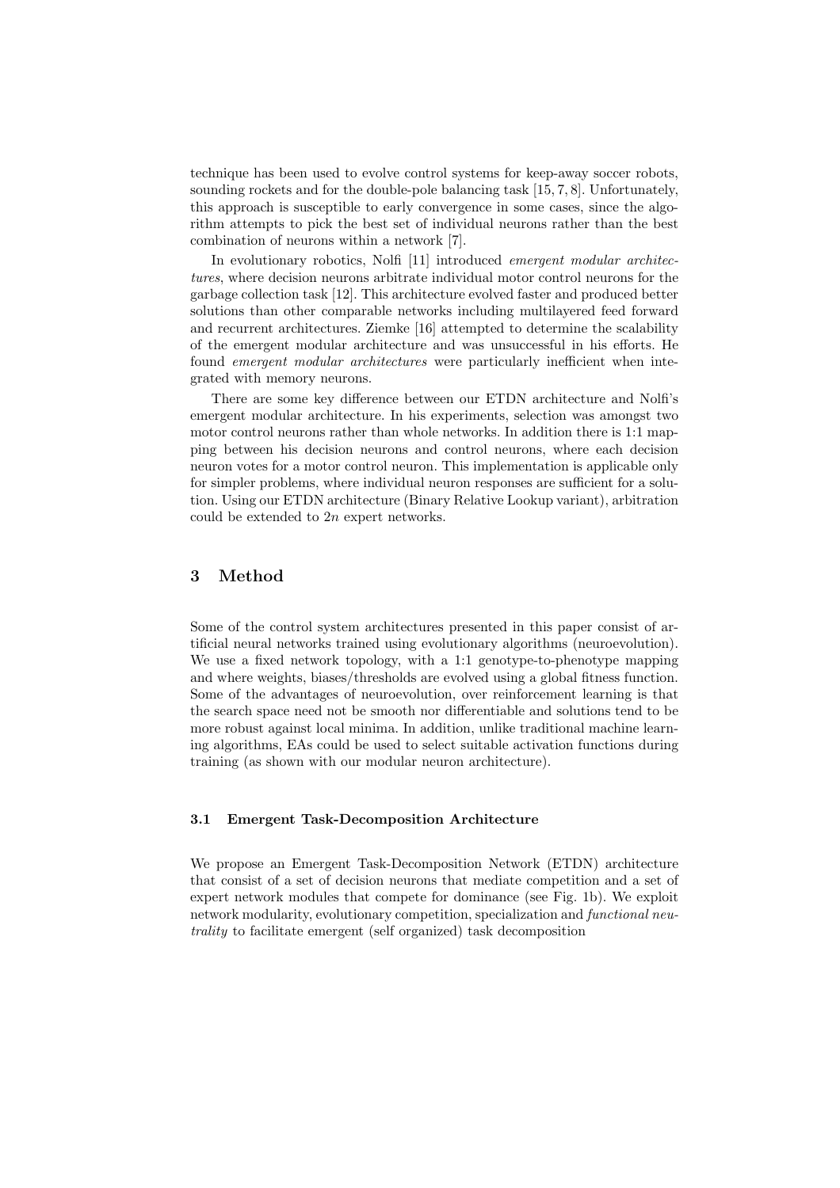technique has been used to evolve control systems for keep-away soccer robots, sounding rockets and for the double-pole balancing task [15, 7, 8]. Unfortunately, this approach is susceptible to early convergence in some cases, since the algorithm attempts to pick the best set of individual neurons rather than the best combination of neurons within a network [7].

In evolutionary robotics, Nolfi [11] introduced emergent modular architectures, where decision neurons arbitrate individual motor control neurons for the garbage collection task [12]. This architecture evolved faster and produced better solutions than other comparable networks including multilayered feed forward and recurrent architectures. Ziemke [16] attempted to determine the scalability of the emergent modular architecture and was unsuccessful in his efforts. He found emergent modular architectures were particularly inefficient when integrated with memory neurons.

There are some key difference between our ETDN architecture and Nolfi's emergent modular architecture. In his experiments, selection was amongst two motor control neurons rather than whole networks. In addition there is 1:1 mapping between his decision neurons and control neurons, where each decision neuron votes for a motor control neuron. This implementation is applicable only for simpler problems, where individual neuron responses are sufficient for a solution. Using our ETDN architecture (Binary Relative Lookup variant), arbitration could be extended to 2n expert networks.

#### 3 Method

Some of the control system architectures presented in this paper consist of artificial neural networks trained using evolutionary algorithms (neuroevolution). We use a fixed network topology, with a 1:1 genotype-to-phenotype mapping and where weights, biases/thresholds are evolved using a global fitness function. Some of the advantages of neuroevolution, over reinforcement learning is that the search space need not be smooth nor differentiable and solutions tend to be more robust against local minima. In addition, unlike traditional machine learning algorithms, EAs could be used to select suitable activation functions during training (as shown with our modular neuron architecture).

#### 3.1 Emergent Task-Decomposition Architecture

We propose an Emergent Task-Decomposition Network (ETDN) architecture that consist of a set of decision neurons that mediate competition and a set of expert network modules that compete for dominance (see Fig. 1b). We exploit network modularity, evolutionary competition, specialization and *functional neu*trality to facilitate emergent (self organized) task decomposition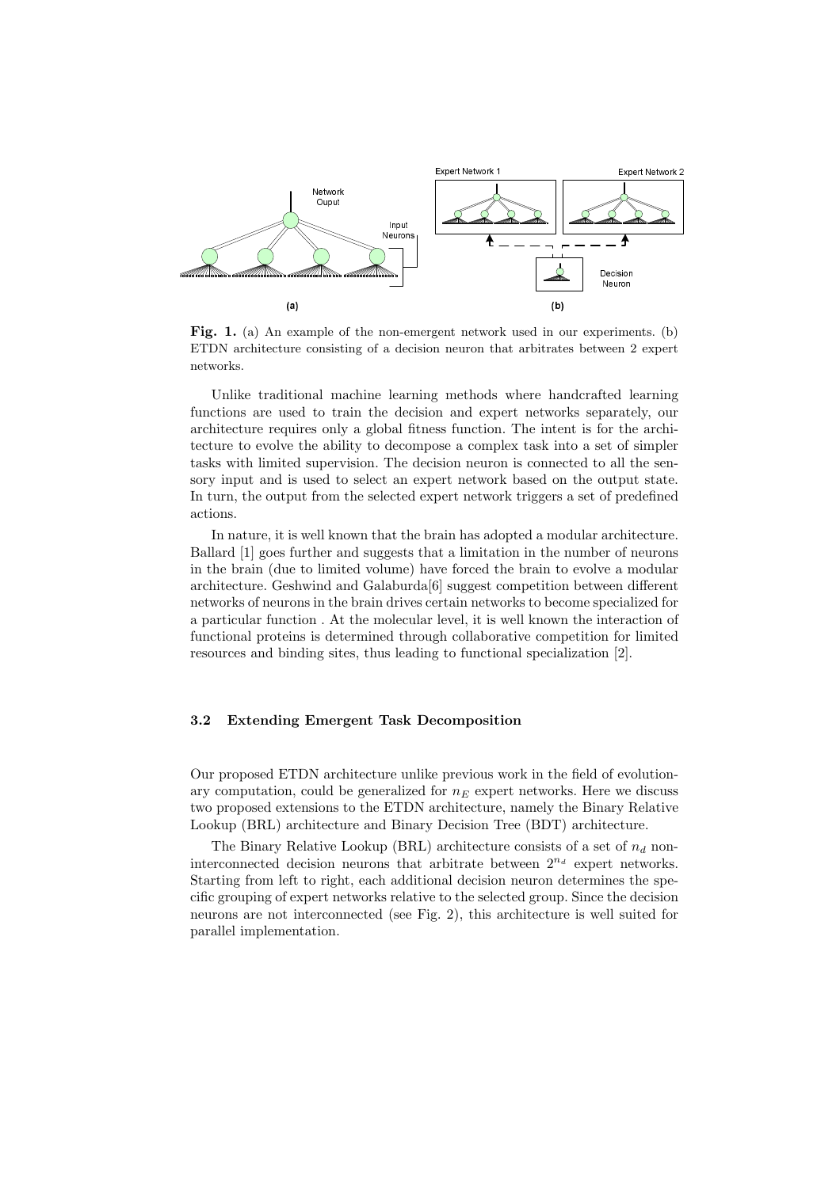

Fig. 1. (a) An example of the non-emergent network used in our experiments. (b) ETDN architecture consisting of a decision neuron that arbitrates between 2 expert networks.

Unlike traditional machine learning methods where handcrafted learning functions are used to train the decision and expert networks separately, our architecture requires only a global fitness function. The intent is for the architecture to evolve the ability to decompose a complex task into a set of simpler tasks with limited supervision. The decision neuron is connected to all the sensory input and is used to select an expert network based on the output state. In turn, the output from the selected expert network triggers a set of predefined actions.

In nature, it is well known that the brain has adopted a modular architecture. Ballard [1] goes further and suggests that a limitation in the number of neurons in the brain (due to limited volume) have forced the brain to evolve a modular architecture. Geshwind and Galaburda[6] suggest competition between different networks of neurons in the brain drives certain networks to become specialized for a particular function . At the molecular level, it is well known the interaction of functional proteins is determined through collaborative competition for limited resources and binding sites, thus leading to functional specialization [2].

#### 3.2 Extending Emergent Task Decomposition

Our proposed ETDN architecture unlike previous work in the field of evolutionary computation, could be generalized for  $n_E$  expert networks. Here we discuss two proposed extensions to the ETDN architecture, namely the Binary Relative Lookup (BRL) architecture and Binary Decision Tree (BDT) architecture.

The Binary Relative Lookup (BRL) architecture consists of a set of  $n_d$  noninterconnected decision neurons that arbitrate between  $2^{n_d}$  expert networks. Starting from left to right, each additional decision neuron determines the specific grouping of expert networks relative to the selected group. Since the decision neurons are not interconnected (see Fig. 2), this architecture is well suited for parallel implementation.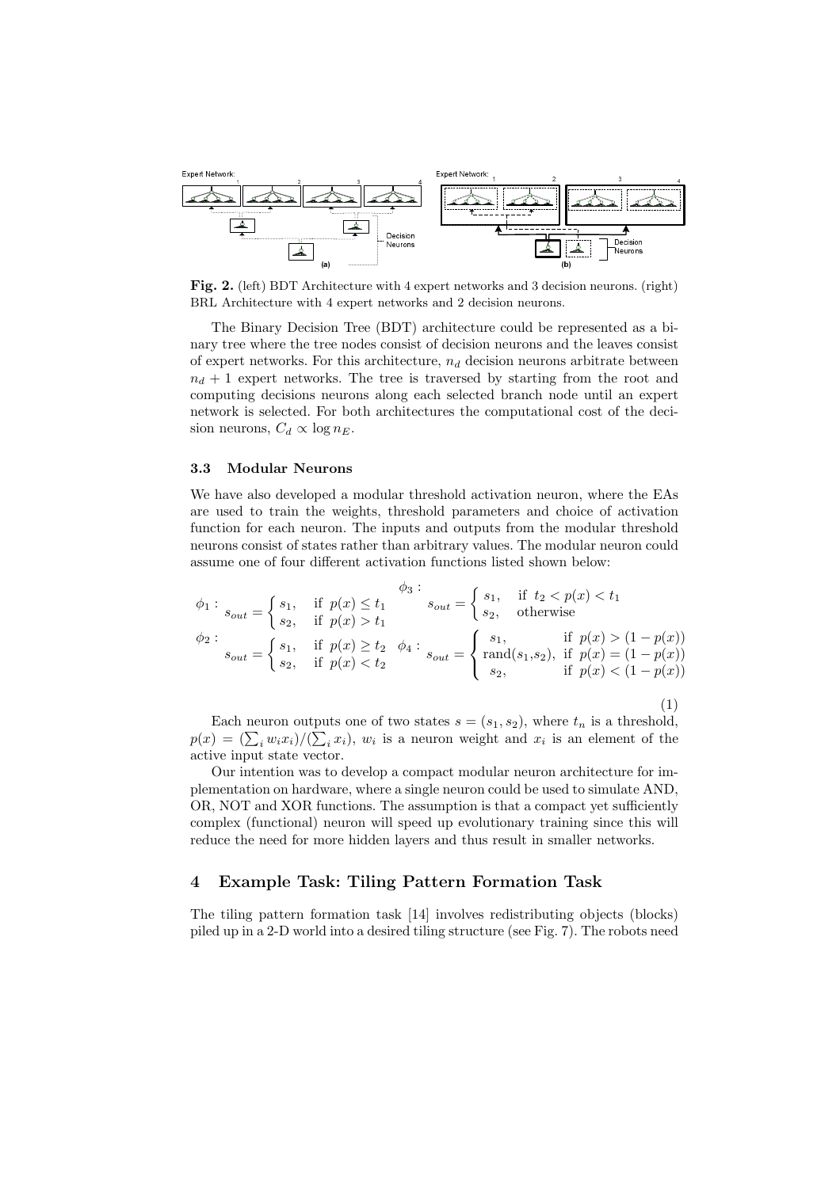

Fig. 2. (left) BDT Architecture with 4 expert networks and 3 decision neurons. (right) BRL Architecture with 4 expert networks and 2 decision neurons.

The Binary Decision Tree (BDT) architecture could be represented as a binary tree where the tree nodes consist of decision neurons and the leaves consist of expert networks. For this architecture,  $n_d$  decision neurons arbitrate between  $n_d + 1$  expert networks. The tree is traversed by starting from the root and computing decisions neurons along each selected branch node until an expert network is selected. For both architectures the computational cost of the decision neurons,  $C_d \propto \log n_E$ .

#### 3.3 Modular Neurons

We have also developed a modular threshold activation neuron, where the EAs are used to train the weights, threshold parameters and choice of activation function for each neuron. The inputs and outputs from the modular threshold neurons consist of states rather than arbitrary values. The modular neuron could assume one of four different activation functions listed shown below:

$$
\phi_1: \begin{aligned}\n\phi_2: \phi_3: \phi_4: \phi_5: \phi_6: \phi_7: \phi_8: \phi_9: \phi_{10}: \\
\phi_{21}: \phi_{22}: \phi_{23}: \phi_{24}: \phi_{25}: \phi_{26}: \phi_{27}: \phi_{28}: \phi_{28}: \phi_{29}: \phi_{20}: \phi_{21}: \phi_{22}: \phi_{21}: \phi_{22}: \phi_{23}: \phi_{24}: \phi_{25}: \phi_{26}: \phi_{26}: \phi_{27}: \phi_{28}: \phi_{28}: \phi_{28}: \phi_{28}: \phi_{28}: \phi_{28}: \phi_{28}: \phi_{28}: \phi_{28}: \phi_{28}: \phi_{28}: \phi_{28}: \phi_{28}: \phi_{28}: \phi_{28}: \phi_{28}: \phi_{28}: \phi_{28}: \phi_{28}: \phi_{28}: \phi_{28}: \phi_{28}: \phi_{28}: \phi_{28}: \phi_{28}: \phi_{28}: \phi_{28}: \phi_{28}: \phi_{28}: \phi_{28}: \phi_{28}: \phi_{28}: \phi_{28}: \phi_{28}: \phi_{28}: \phi_{28}: \phi_{28}: \phi_{28}: \phi_{28}: \phi_{28}: \phi_{28}: \phi_{28}: \phi_{28}: \phi_{28}: \phi_{28}: \phi_{28}: \phi_{28}: \phi_{28}: \phi_{28}: \phi_{28}: \phi_{28}: \phi_{28}: \phi_{28}: \phi_{28}: \phi_{28}: \phi_{28}: \phi_{28}: \phi_{28}: \phi_{28}: \phi_{28}: \phi_{28}: \phi_{28}: \phi_{28}: \phi_{28}: \phi_{28}: \phi_{28}: \phi_{28}: \phi_{28}: \phi_{28}: \phi_{28}: \phi_{28}: \phi_{28}: \phi_{28}: \phi_{28}: \phi_{28}: \phi_{28}: \phi_{28}: \phi_{28}: \phi_{28}: \phi_{28}: \phi_{28}: \phi_{28}: \phi_{28}: \phi_{28}: \phi_{28}: \phi_{28}: \phi_{28}: \phi_{28}: \phi_{28}: \phi_{28}: \phi_{28}: \phi_{28}: \phi_{28}: \phi_{28}: \phi_{28}: \phi_{28}:
$$

Each neuron outputs one of two states  $s = (s_1, s_2)$ , where  $t_n$  is a threshold, Each heuron outputs one of two states  $s = (s_1, s_2)$ , where  $t_n$  is a threshold,<br>  $p(x) = (\sum_i w_i x_i)/(\sum_i x_i)$ ,  $w_i$  is a neuron weight and  $x_i$  is an element of the active input state vector.

Our intention was to develop a compact modular neuron architecture for implementation on hardware, where a single neuron could be used to simulate AND, OR, NOT and XOR functions. The assumption is that a compact yet sufficiently complex (functional) neuron will speed up evolutionary training since this will reduce the need for more hidden layers and thus result in smaller networks.

## 4 Example Task: Tiling Pattern Formation Task

The tiling pattern formation task [14] involves redistributing objects (blocks) piled up in a 2-D world into a desired tiling structure (see Fig. 7). The robots need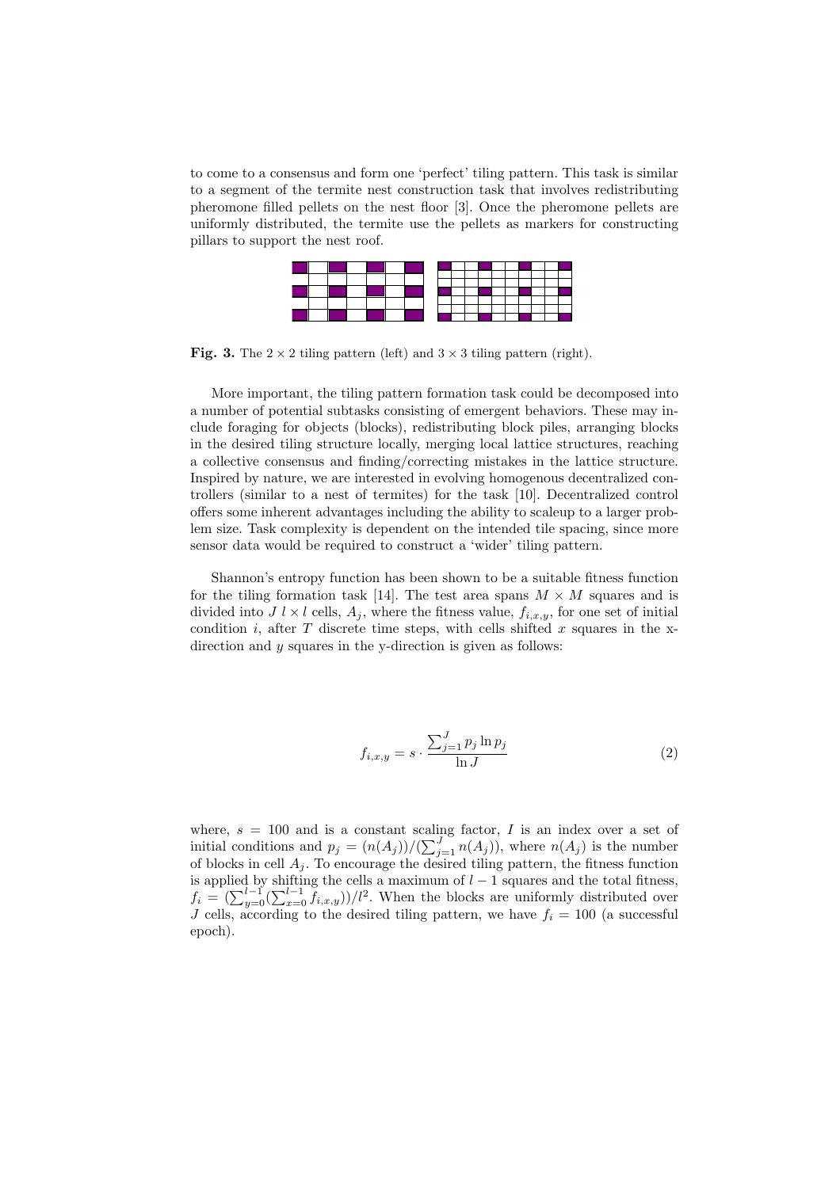to come to a consensus and form one 'perfect' tiling pattern. This task is similar to a segment of the termite nest construction task that involves redistributing pheromone filled pellets on the nest floor [3]. Once the pheromone pellets are uniformly distributed, the termite use the pellets as markers for constructing pillars to support the nest roof.



Fig. 3. The  $2 \times 2$  tiling pattern (left) and  $3 \times 3$  tiling pattern (right).

More important, the tiling pattern formation task could be decomposed into a number of potential subtasks consisting of emergent behaviors. These may include foraging for objects (blocks), redistributing block piles, arranging blocks in the desired tiling structure locally, merging local lattice structures, reaching a collective consensus and finding/correcting mistakes in the lattice structure. Inspired by nature, we are interested in evolving homogenous decentralized controllers (similar to a nest of termites) for the task [10]. Decentralized control offers some inherent advantages including the ability to scaleup to a larger problem size. Task complexity is dependent on the intended tile spacing, since more sensor data would be required to construct a 'wider' tiling pattern.

Shannon's entropy function has been shown to be a suitable fitness function for the tiling formation task [14]. The test area spans  $M \times M$  squares and is divided into  $J l \times l$  cells,  $A_j$ , where the fitness value,  $f_{i,x,y}$ , for one set of initial condition i, after T discrete time steps, with cells shifted x squares in the xdirection and  $y$  squares in the y-direction is given as follows:

$$
f_{i,x,y} = s \cdot \frac{\sum_{j=1}^{J} p_j \ln p_j}{\ln J} \tag{2}
$$

where,  $s = 100$  and is a constant scaling factor, I is an index over a set of where,  $s = 100$  and is a constant scaling factor, T is an index over a set of initial conditions and  $p_j = (n(A_j)) / (\sum_{j=1}^J n(A_j))$ , where  $n(A_j)$  is the number of blocks in cell  $A_j$ . To encourage the desired tiling pattern, the fitness function is applied by shifting the cells a maximum of  $l-1$  squares and the total fitness, is applied by similing the cens a maximum of  $l-1$  squares and the total inness,<br>  $f_i = (\sum_{y=0}^{l-1} (\sum_{x=0}^{l-1} f_{i,x,y}))/l^2$ . When the blocks are uniformly distributed over J cells, according to the desired tiling pattern, we have  $f_i = 100$  (a successful epoch).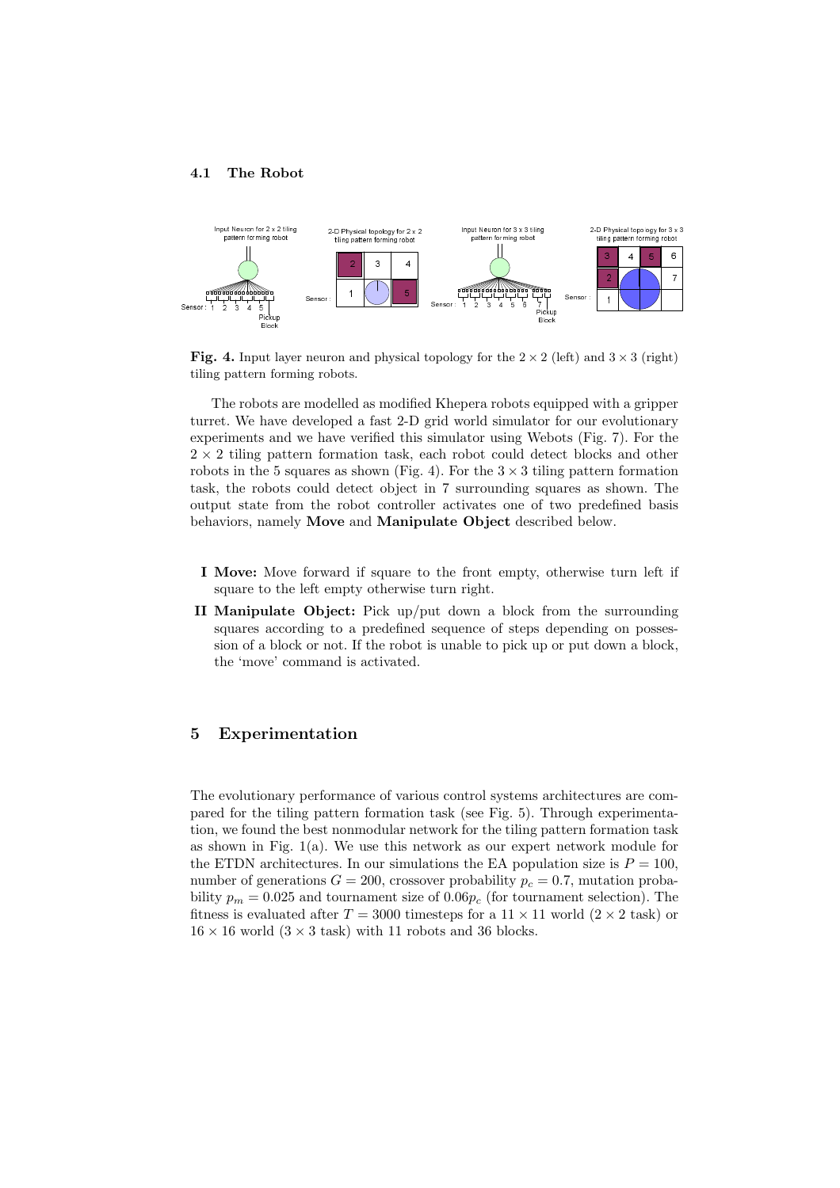#### 4.1 The Robot



Fig. 4. Input layer neuron and physical topology for the  $2 \times 2$  (left) and  $3 \times 3$  (right) tiling pattern forming robots.

The robots are modelled as modified Khepera robots equipped with a gripper turret. We have developed a fast 2-D grid world simulator for our evolutionary experiments and we have verified this simulator using Webots (Fig. 7). For the  $2 \times 2$  tiling pattern formation task, each robot could detect blocks and other robots in the 5 squares as shown (Fig. 4). For the  $3 \times 3$  tiling pattern formation task, the robots could detect object in 7 surrounding squares as shown. The output state from the robot controller activates one of two predefined basis behaviors, namely Move and Manipulate Object described below.

- I Move: Move forward if square to the front empty, otherwise turn left if square to the left empty otherwise turn right.
- II Manipulate Object: Pick up/put down a block from the surrounding squares according to a predefined sequence of steps depending on possession of a block or not. If the robot is unable to pick up or put down a block, the 'move' command is activated.

## 5 Experimentation

The evolutionary performance of various control systems architectures are compared for the tiling pattern formation task (see Fig. 5). Through experimentation, we found the best nonmodular network for the tiling pattern formation task as shown in Fig.  $1(a)$ . We use this network as our expert network module for the ETDN architectures. In our simulations the EA population size is  $P = 100$ , number of generations  $G = 200$ , crossover probability  $p_c = 0.7$ , mutation probability  $p_m = 0.025$  and tournament size of  $0.06p_c$  (for tournament selection). The fitness is evaluated after  $T = 3000$  timesteps for a  $11 \times 11$  world  $(2 \times 2$  task) or  $16 \times 16$  world  $(3 \times 3$  task) with 11 robots and 36 blocks.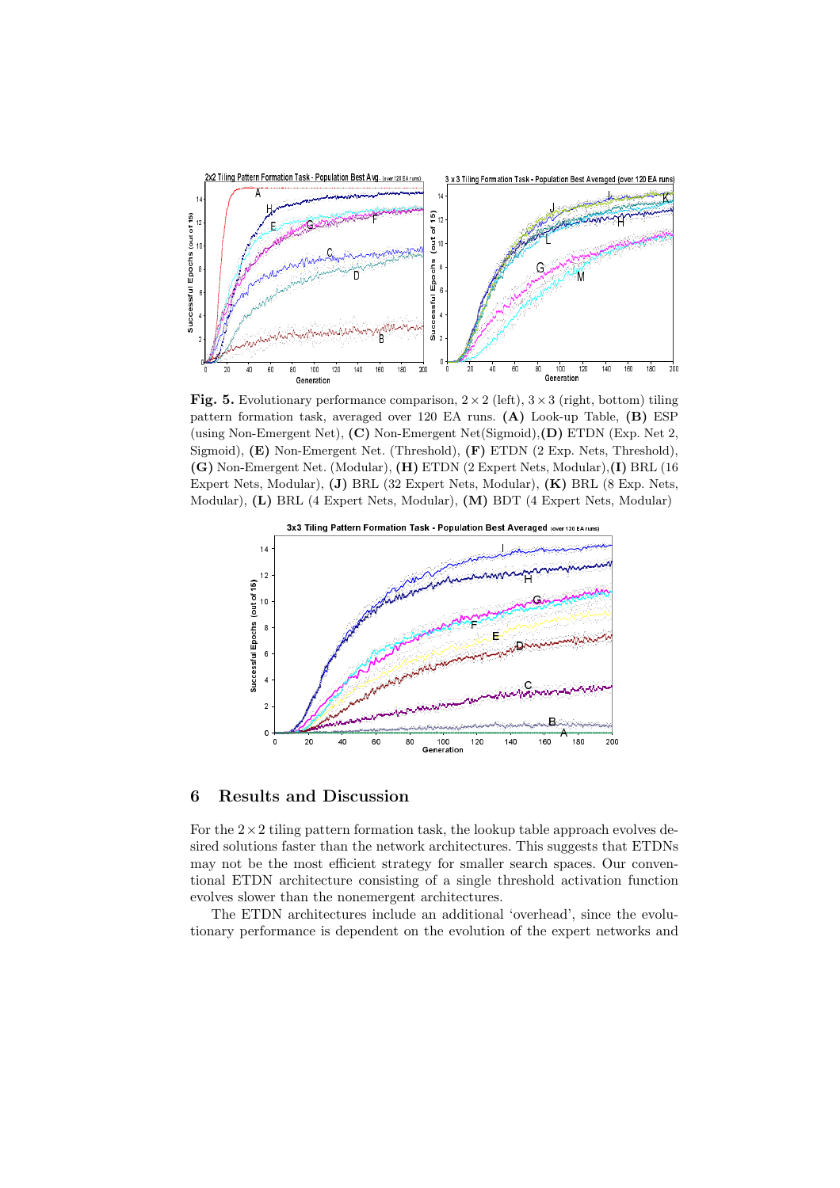

**Fig. 5.** Evolutionary performance comparison,  $2 \times 2$  (left),  $3 \times 3$  (right, bottom) tiling pattern formation task, averaged over 120 EA runs. (A) Look-up Table, (B) ESP (using Non-Emergent Net), (C) Non-Emergent Net(Sigmoid),(D) ETDN (Exp. Net 2, Sigmoid), (E) Non-Emergent Net. (Threshold), (F) ETDN (2 Exp. Nets, Threshold), (G) Non-Emergent Net. (Modular), (H) ETDN (2 Expert Nets, Modular),(I) BRL (16 Expert Nets, Modular), (J) BRL (32 Expert Nets, Modular), (K) BRL (8 Exp. Nets, Modular), (L) BRL (4 Expert Nets, Modular), (M) BDT (4 Expert Nets, Modular)



## 6 Results and Discussion

For the  $2 \times 2$  tiling pattern formation task, the lookup table approach evolves desired solutions faster than the network architectures. This suggests that ETDNs may not be the most efficient strategy for smaller search spaces. Our conventional ETDN architecture consisting of a single threshold activation function evolves slower than the nonemergent architectures.

The ETDN architectures include an additional 'overhead', since the evolutionary performance is dependent on the evolution of the expert networks and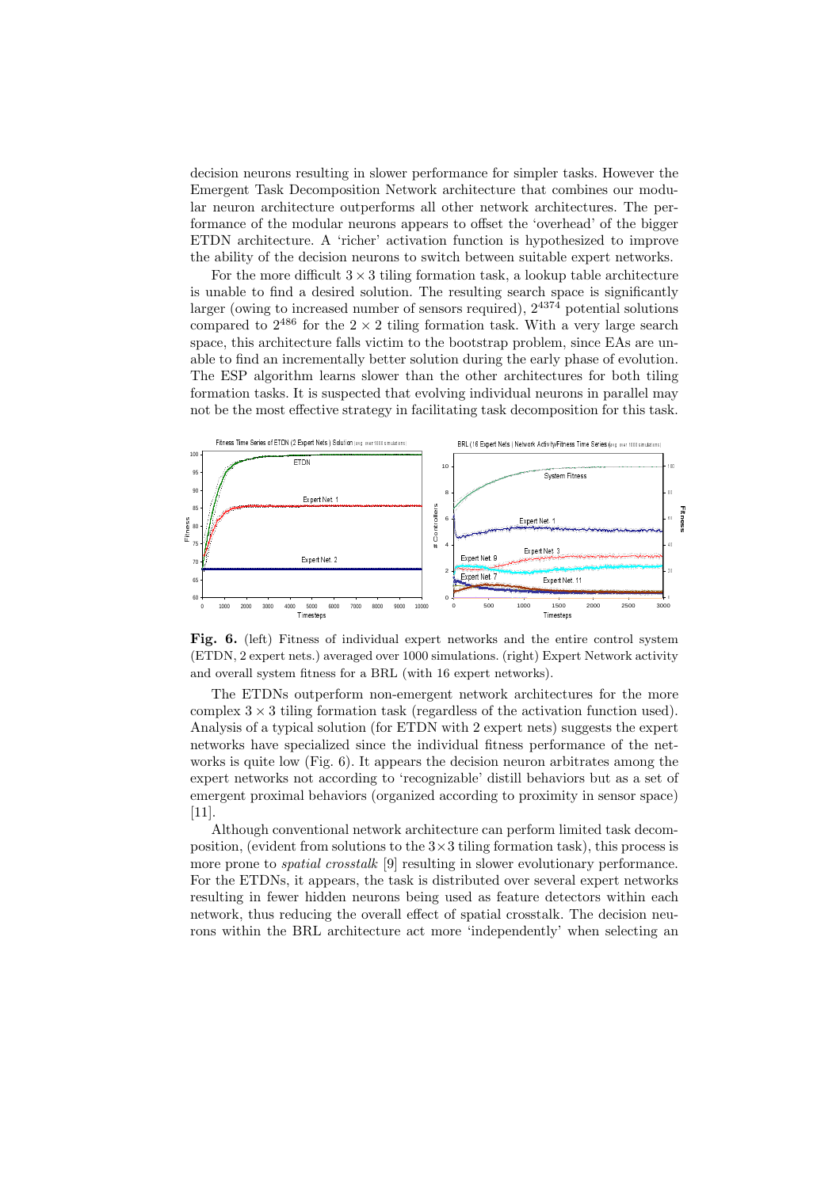decision neurons resulting in slower performance for simpler tasks. However the Emergent Task Decomposition Network architecture that combines our modular neuron architecture outperforms all other network architectures. The performance of the modular neurons appears to offset the 'overhead' of the bigger ETDN architecture. A 'richer' activation function is hypothesized to improve the ability of the decision neurons to switch between suitable expert networks.

For the more difficult  $3 \times 3$  tiling formation task, a lookup table architecture is unable to find a desired solution. The resulting search space is significantly larger (owing to increased number of sensors required),  $2^{4374}$  potential solutions compared to  $2^{486}$  for the  $2 \times 2$  tiling formation task. With a very large search space, this architecture falls victim to the bootstrap problem, since EAs are unable to find an incrementally better solution during the early phase of evolution. The ESP algorithm learns slower than the other architectures for both tiling formation tasks. It is suspected that evolving individual neurons in parallel may not be the most effective strategy in facilitating task decomposition for this task.



Fig. 6. (left) Fitness of individual expert networks and the entire control system (ETDN, 2 expert nets.) averaged over 1000 simulations. (right) Expert Network activity and overall system fitness for a BRL (with 16 expert networks).

The ETDNs outperform non-emergent network architectures for the more complex  $3 \times 3$  tiling formation task (regardless of the activation function used). Analysis of a typical solution (for ETDN with 2 expert nets) suggests the expert networks have specialized since the individual fitness performance of the networks is quite low (Fig. 6). It appears the decision neuron arbitrates among the expert networks not according to 'recognizable' distill behaviors but as a set of emergent proximal behaviors (organized according to proximity in sensor space) [11].

Although conventional network architecture can perform limited task decomposition, (evident from solutions to the  $3\times3$  tiling formation task), this process is more prone to *spatial crosstalk* [9] resulting in slower evolutionary performance. For the ETDNs, it appears, the task is distributed over several expert networks resulting in fewer hidden neurons being used as feature detectors within each network, thus reducing the overall effect of spatial crosstalk. The decision neurons within the BRL architecture act more 'independently' when selecting an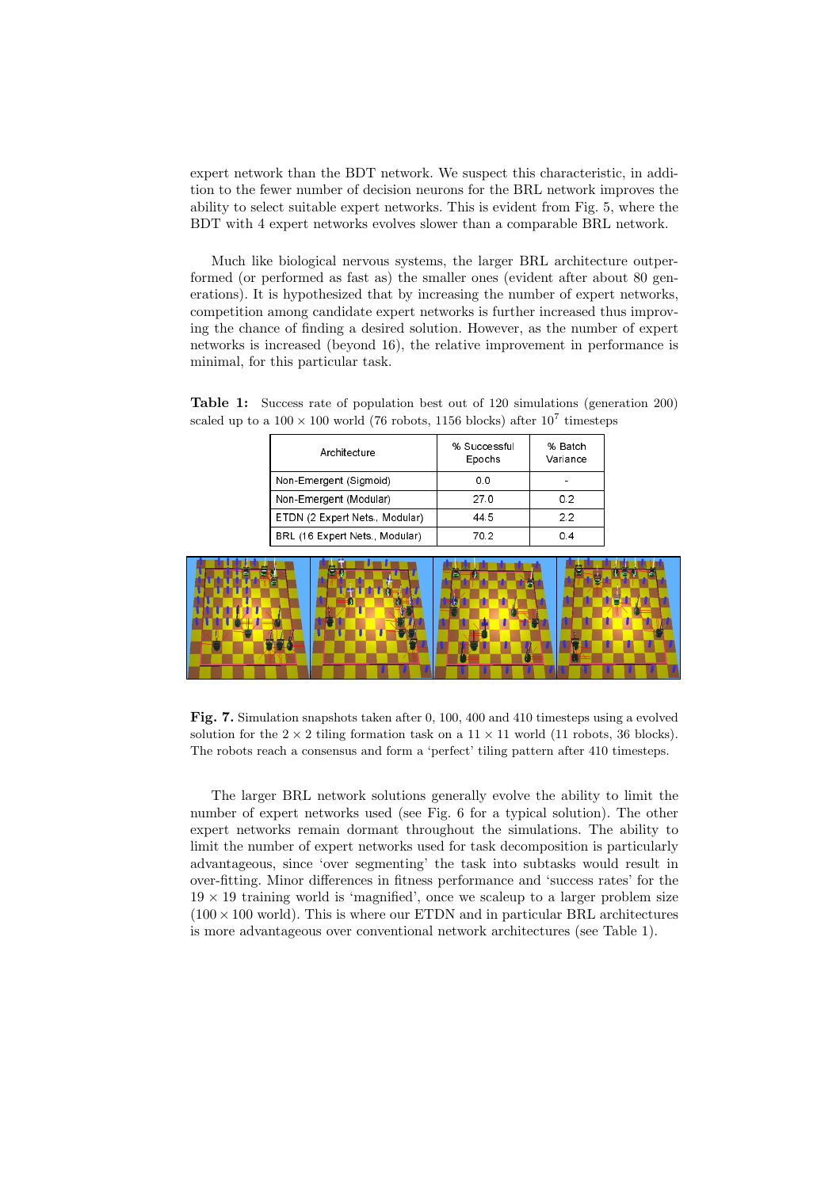expert network than the BDT network. We suspect this characteristic, in addition to the fewer number of decision neurons for the BRL network improves the ability to select suitable expert networks. This is evident from Fig. 5, where the BDT with 4 expert networks evolves slower than a comparable BRL network.

Much like biological nervous systems, the larger BRL architecture outperformed (or performed as fast as) the smaller ones (evident after about 80 generations). It is hypothesized that by increasing the number of expert networks, competition among candidate expert networks is further increased thus improving the chance of finding a desired solution. However, as the number of expert networks is increased (beyond 16), the relative improvement in performance is minimal, for this particular task.

Table 1: Success rate of population best out of 120 simulations (generation 200) scaled up to a  $100 \times 100$  world (76 robots, 1156 blocks) after  $10^7$  timesteps

| Architecture                  | % Successful<br>Epochs | % Batch<br>Variance |
|-------------------------------|------------------------|---------------------|
| Non-Emergent (Sigmoid)        | 0.0                    |                     |
| Non-Emergent (Modular)        | 27.0                   | 0.2                 |
| ETDN (2 Expert Nets, Modular) | 44.5                   | クク                  |
| BRL (16 Expert Nets, Modular) | 70.2                   | 0 4                 |



Fig. 7. Simulation snapshots taken after 0, 100, 400 and 410 timesteps using a evolved solution for the  $2 \times 2$  tiling formation task on a  $11 \times 11$  world (11 robots, 36 blocks). The robots reach a consensus and form a 'perfect' tiling pattern after 410 timesteps.

The larger BRL network solutions generally evolve the ability to limit the number of expert networks used (see Fig. 6 for a typical solution). The other expert networks remain dormant throughout the simulations. The ability to limit the number of expert networks used for task decomposition is particularly advantageous, since 'over segmenting' the task into subtasks would result in over-fitting. Minor differences in fitness performance and 'success rates' for the  $19 \times 19$  training world is 'magnified', once we scaleup to a larger problem size  $(100 \times 100$  world). This is where our ETDN and in particular BRL architectures is more advantageous over conventional network architectures (see Table 1).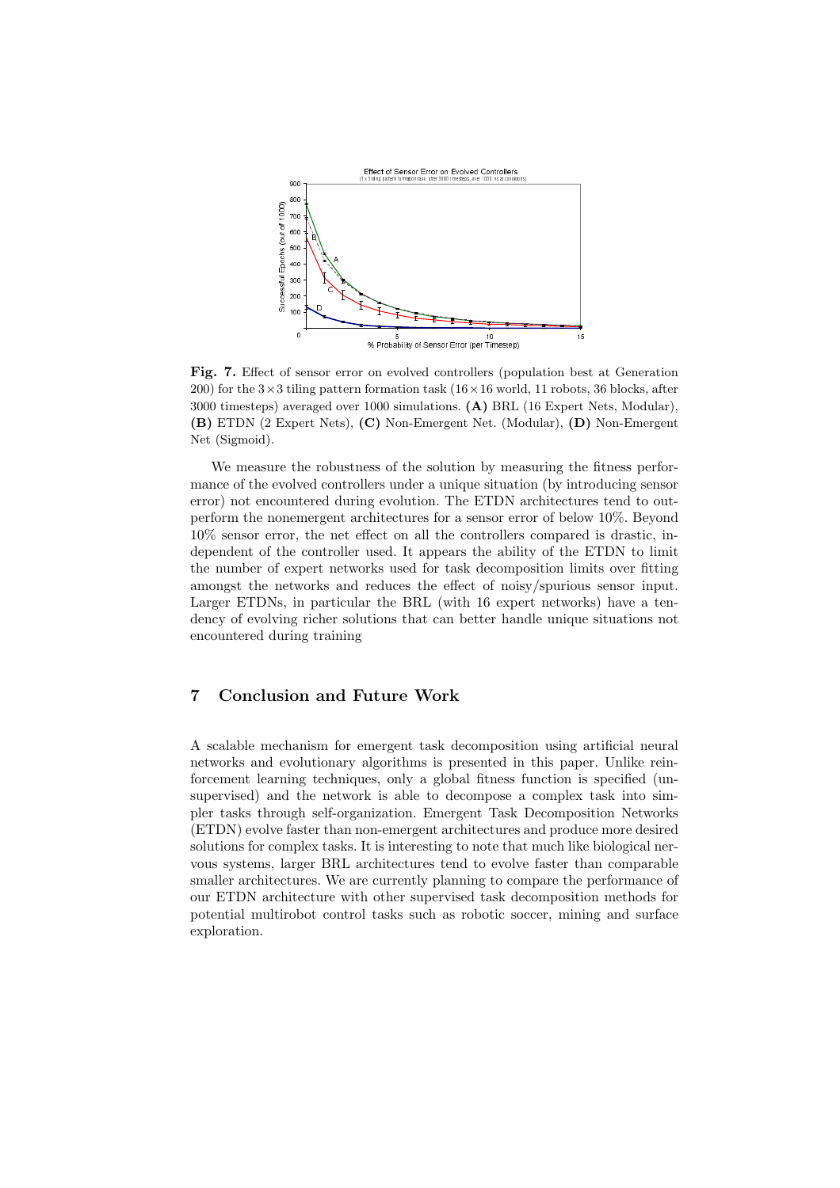

Fig. 7. Effect of sensor error on evolved controllers (population best at Generation 200) for the  $3\times3$  tiling pattern formation task ( $16\times16$  world, 11 robots, 36 blocks, after 3000 timesteps) averaged over 1000 simulations. (A) BRL (16 Expert Nets, Modular), (B) ETDN (2 Expert Nets), (C) Non-Emergent Net. (Modular), (D) Non-Emergent Net (Sigmoid).

We measure the robustness of the solution by measuring the fitness performance of the evolved controllers under a unique situation (by introducing sensor error) not encountered during evolution. The ETDN architectures tend to outperform the nonemergent architectures for a sensor error of below 10%. Beyond 10% sensor error, the net effect on all the controllers compared is drastic, independent of the controller used. It appears the ability of the ETDN to limit the number of expert networks used for task decomposition limits over fitting amongst the networks and reduces the effect of noisy/spurious sensor input. Larger ETDNs, in particular the BRL (with 16 expert networks) have a tendency of evolving richer solutions that can better handle unique situations not encountered during training

## 7 Conclusion and Future Work

A scalable mechanism for emergent task decomposition using artificial neural networks and evolutionary algorithms is presented in this paper. Unlike reinforcement learning techniques, only a global fitness function is specified (unsupervised) and the network is able to decompose a complex task into simpler tasks through self-organization. Emergent Task Decomposition Networks (ETDN) evolve faster than non-emergent architectures and produce more desired solutions for complex tasks. It is interesting to note that much like biological nervous systems, larger BRL architectures tend to evolve faster than comparable smaller architectures. We are currently planning to compare the performance of our ETDN architecture with other supervised task decomposition methods for potential multirobot control tasks such as robotic soccer, mining and surface exploration.